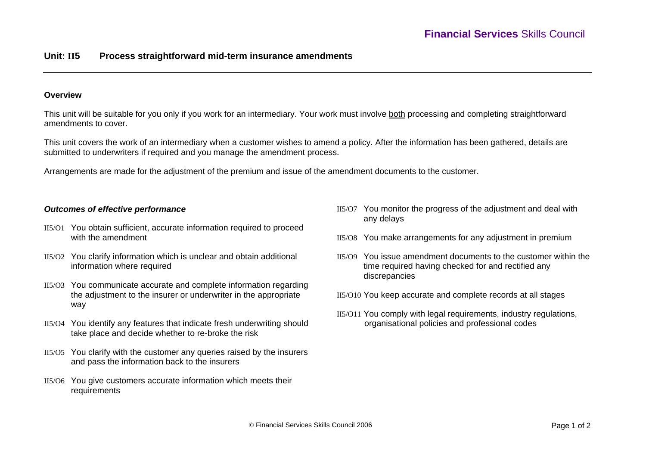## **Unit: II5 Process straightforward mid-term insurance amendments**

### **Overview**

This unit will be suitable for you only if you work for an intermediary. Your work must involve both processing and completing straightforward amendments to cover.

This unit covers the work of an intermediary when a customer wishes to amend a policy. After the information has been gathered, details are submitted to underwriters if required and you manage the amendment process.

Arrangements are made for the adjustment of the premium and issue of the amendment documents to the customer.

### *Outcomes of effective performance*

- II5/O1 You obtain sufficient, accurate information required to proceed with the amendment
- II5/O2 You clarify information which is unclear and obtain additional information where required
- II5/O3 You communicate accurate and complete information regarding the adjustment to the insurer or underwriter in the appropriate way
- II5/O4 You identify any features that indicate fresh underwriting should take place and decide whether to re-broke the risk
- II5/O5 You clarify with the customer any queries raised by the insurers and pass the information back to the insurers
- II5/O6 You give customers accurate information which meets their requirements
- II5/O7 You monitor the progress of the adjustment and deal with any delays
- II5/O8 You make arrangements for any adjustment in premium
- II5/O9 You issue amendment documents to the customer within the time required having checked for and rectified any discrepancies
- II5/O10 You keep accurate and complete records at all stages
- II5/O11 You comply with legal requirements, industry regulations, organisational policies and professional codes